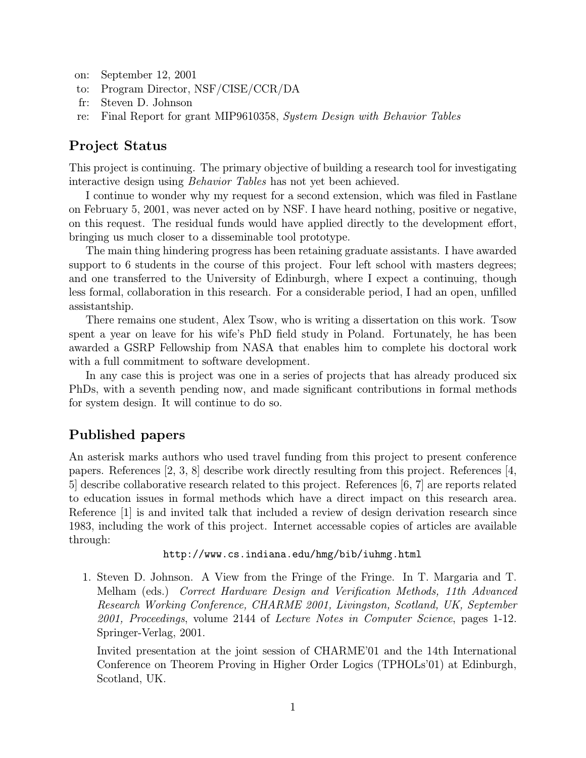- on: September 12, 2001
- to: Program Director, NSF/CISE/CCR/DA
- fr: Steven D. Johnson
- re: Final Report for grant MIP9610358, System Design with Behavior Tables

### Project Status

This project is continuing. The primary objective of building a research tool for investigating interactive design using Behavior Tables has not yet been achieved.

I continue to wonder why my request for a second extension, which was filed in Fastlane on February 5, 2001, was never acted on by NSF. I have heard nothing, positive or negative, on this request. The residual funds would have applied directly to the development effort, bringing us much closer to a disseminable tool prototype.

The main thing hindering progress has been retaining graduate assistants. I have awarded support to 6 students in the course of this project. Four left school with masters degrees; and one transferred to the University of Edinburgh, where I expect a continuing, though less formal, collaboration in this research. For a considerable period, I had an open, unfilled assistantship.

There remains one student, Alex Tsow, who is writing a dissertation on this work. Tsow spent a year on leave for his wife's PhD field study in Poland. Fortunately, he has been awarded a GSRP Fellowship from NASA that enables him to complete his doctoral work with a full commitment to software development.

In any case this is project was one in a series of projects that has already produced six PhDs, with a seventh pending now, and made significant contributions in formal methods for system design. It will continue to do so.

# Published papers

An asterisk marks authors who used travel funding from this project to present conference papers. References  $\vert 2, 3, 8 \vert$  describe work directly resulting from this project. References  $\vert 4, \vert$ 5] describe collaborative research related to this project. References [6, 7] are reports related to education issues in formal methods which have a direct impact on this research area. Reference [1] is and invited talk that included a review of design derivation research since 1983, including the work of this project. Internet accessable copies of articles are available through:

```
http://www.cs.indiana.edu/hmg/bib/iuhmg.html
```
1. Steven D. Johnson. A View from the Fringe of the Fringe. In T. Margaria and T. Melham (eds.) Correct Hardware Design and Verification Methods, 11th Advanced Research Working Conference, CHARME 2001, Livingston, Scotland, UK, September 2001, Proceedings, volume 2144 of Lecture Notes in Computer Science, pages 1-12. Springer-Verlag, 2001.

Invited presentation at the joint session of CHARME'01 and the 14th International Conference on Theorem Proving in Higher Order Logics (TPHOLs'01) at Edinburgh, Scotland, UK.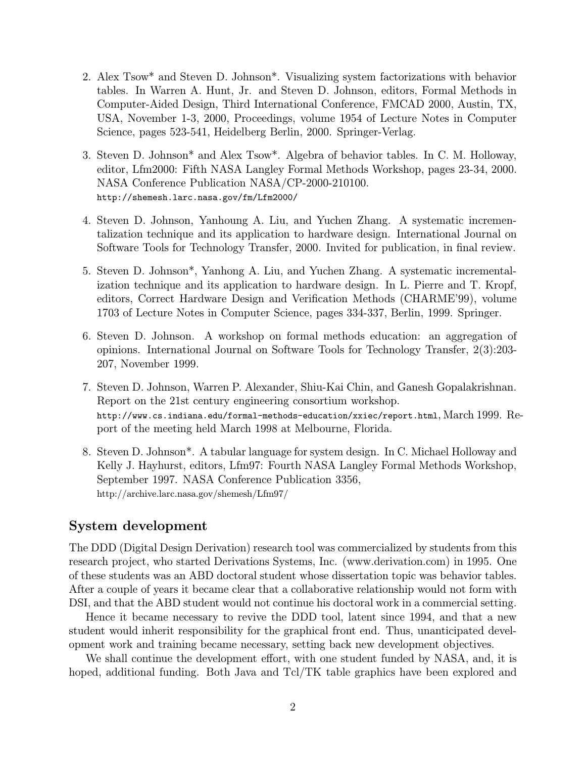- 2. Alex Tsow\* and Steven D. Johnson\*. Visualizing system factorizations with behavior tables. In Warren A. Hunt, Jr. and Steven D. Johnson, editors, Formal Methods in Computer-Aided Design, Third International Conference, FMCAD 2000, Austin, TX, USA, November 1-3, 2000, Proceedings, volume 1954 of Lecture Notes in Computer Science, pages 523-541, Heidelberg Berlin, 2000. Springer-Verlag.
- 3. Steven D. Johnson\* and Alex Tsow\*. Algebra of behavior tables. In C. M. Holloway, editor, Lfm2000: Fifth NASA Langley Formal Methods Workshop, pages 23-34, 2000. NASA Conference Publication NASA/CP-2000-210100. http://shemesh.larc.nasa.gov/fm/Lfm2000/
- 4. Steven D. Johnson, Yanhoung A. Liu, and Yuchen Zhang. A systematic incrementalization technique and its application to hardware design. International Journal on Software Tools for Technology Transfer, 2000. Invited for publication, in final review.
- 5. Steven D. Johnson\*, Yanhong A. Liu, and Yuchen Zhang. A systematic incrementalization technique and its application to hardware design. In L. Pierre and T. Kropf, editors, Correct Hardware Design and Verification Methods (CHARME'99), volume 1703 of Lecture Notes in Computer Science, pages 334-337, Berlin, 1999. Springer.
- 6. Steven D. Johnson. A workshop on formal methods education: an aggregation of opinions. International Journal on Software Tools for Technology Transfer, 2(3):203- 207, November 1999.
- 7. Steven D. Johnson, Warren P. Alexander, Shiu-Kai Chin, and Ganesh Gopalakrishnan. Report on the 21st century engineering consortium workshop. http://www.cs.indiana.edu/formal-methods-education/xxiec/report.html, March 1999. Report of the meeting held March 1998 at Melbourne, Florida.
- 8. Steven D. Johnson\*. A tabular language for system design. In C. Michael Holloway and Kelly J. Hayhurst, editors, Lfm97: Fourth NASA Langley Formal Methods Workshop, September 1997. NASA Conference Publication 3356, http://archive.larc.nasa.gov/shemesh/Lfm97/

#### System development

The DDD (Digital Design Derivation) research tool was commercialized by students from this research project, who started Derivations Systems, Inc. (www.derivation.com) in 1995. One of these students was an ABD doctoral student whose dissertation topic was behavior tables. After a couple of years it became clear that a collaborative relationship would not form with DSI, and that the ABD student would not continue his doctoral work in a commercial setting.

Hence it became necessary to revive the DDD tool, latent since 1994, and that a new student would inherit responsibility for the graphical front end. Thus, unanticipated development work and training became necessary, setting back new development objectives.

We shall continue the development effort, with one student funded by NASA, and, it is hoped, additional funding. Both Java and Tcl/TK table graphics have been explored and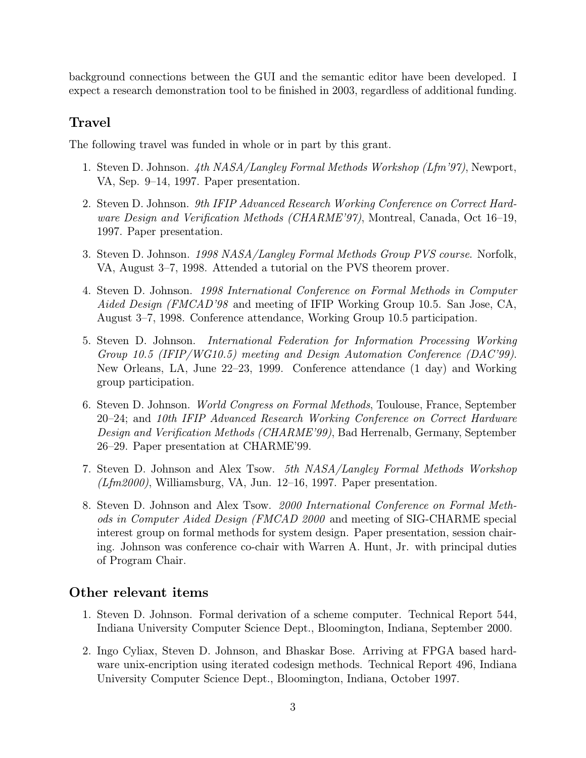background connections between the GUI and the semantic editor have been developed. I expect a research demonstration tool to be finished in 2003, regardless of additional funding.

# Travel

The following travel was funded in whole or in part by this grant.

- 1. Steven D. Johnson. 4th NASA/Langley Formal Methods Workshop (Lfm'97), Newport, VA, Sep. 9–14, 1997. Paper presentation.
- 2. Steven D. Johnson. 9th IFIP Advanced Research Working Conference on Correct Hardware Design and Verification Methods (CHARME'97), Montreal, Canada, Oct 16–19, 1997. Paper presentation.
- 3. Steven D. Johnson. 1998 NASA/Langley Formal Methods Group PVS course. Norfolk, VA, August 3–7, 1998. Attended a tutorial on the PVS theorem prover.
- 4. Steven D. Johnson. 1998 International Conference on Formal Methods in Computer Aided Design (FMCAD'98 and meeting of IFIP Working Group 10.5. San Jose, CA, August 3–7, 1998. Conference attendance, Working Group 10.5 participation.
- 5. Steven D. Johnson. International Federation for Information Processing Working Group 10.5 (IFIP/WG10.5) meeting and Design Automation Conference (DAC'99). New Orleans, LA, June 22–23, 1999. Conference attendance (1 day) and Working group participation.
- 6. Steven D. Johnson. World Congress on Formal Methods, Toulouse, France, September 20–24; and 10th IFIP Advanced Research Working Conference on Correct Hardware Design and Verification Methods (CHARME'99), Bad Herrenalb, Germany, September 26–29. Paper presentation at CHARME'99.
- 7. Steven D. Johnson and Alex Tsow. 5th NASA/Langley Formal Methods Workshop  $(Lfm2000)$ , Williamsburg, VA, Jun. 12–16, 1997. Paper presentation.
- 8. Steven D. Johnson and Alex Tsow. 2000 International Conference on Formal Methods in Computer Aided Design (FMCAD 2000 and meeting of SIG-CHARME special interest group on formal methods for system design. Paper presentation, session chairing. Johnson was conference co-chair with Warren A. Hunt, Jr. with principal duties of Program Chair.

### Other relevant items

- 1. Steven D. Johnson. Formal derivation of a scheme computer. Technical Report 544, Indiana University Computer Science Dept., Bloomington, Indiana, September 2000.
- 2. Ingo Cyliax, Steven D. Johnson, and Bhaskar Bose. Arriving at FPGA based hardware unix-encription using iterated codesign methods. Technical Report 496, Indiana University Computer Science Dept., Bloomington, Indiana, October 1997.